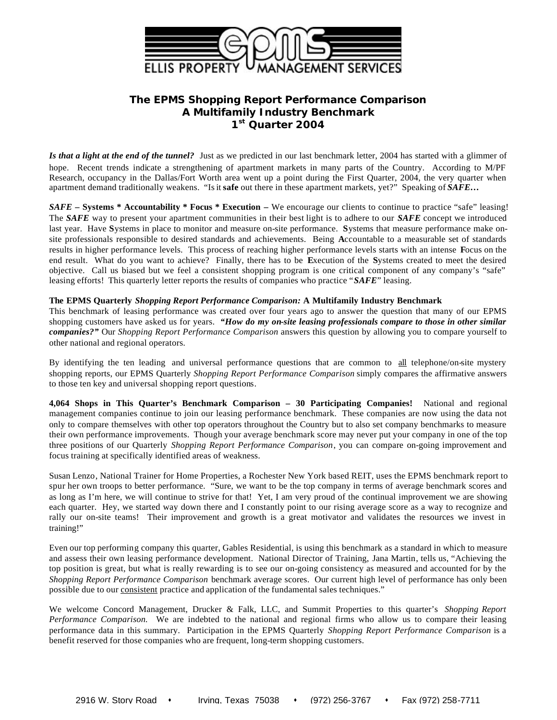

# **The EPMS** *Shopping Report Performance Comparison* **A Multifamily Industry Benchmark 1 st Quarter 2004**

*Is that a light at the end of the tunnel?* Just as we predicted in our last benchmark letter, 2004 has started with a glimmer of hope. Recent trends indicate a strengthening of apartment markets in many parts of the Country. According to M/PF Research, occupancy in the Dallas/Fort Worth area went up a point during the First Quarter, 2004, the very quarter when apartment demand traditionally weakens. "Is it **safe** out there in these apartment markets, yet?" Speaking of *SAFE…*

*SAFE* **– Systems \* Accountability \* Focus \* Execution –** We encourage our clients to continue to practice "safe" leasing! The *SAFE* way to present your apartment communities in their best light is to adhere to our *SAFE* concept we introduced last year. Have **S**ystems in place to monitor and measure on-site performance. **S**ystems that measure performance make onsite professionals responsible to desired standards and achievements. Being **A**ccountable to a measurable set of standards results in higher performance levels. This process of reaching higher performance levels starts with an intense **F**ocus on the end result. What do you want to achieve? Finally, there has to be **E**xecution of the **S**ystems created to meet the desired objective. Call us biased but we feel a consistent shopping program is one critical component of any company's "safe" leasing efforts! This quarterly letter reports the results of companies who practice "*SAFE*" leasing.

## **The EPMS Quarterly** *Shopping Report Performance Comparison:* **A Multifamily Industry Benchmark**

This benchmark of leasing performance was created over four years ago to answer the question that many of our EPMS shopping customers have asked us for years. *"How do my on-site leasing professionals compare to those in other similar companies?"* Our *Shopping Report Performance Comparison* answers this question by allowing you to compare yourself to other national and regional operators.

By identifying the ten leading and universal performance questions that are common to all telephone/on-site mystery shopping reports, our EPMS Quarterly *Shopping Report Performance Comparison* simply compares the affirmative answers to those ten key and universal shopping report questions.

**4,064 Shops in This Quarter's Benchmark Comparison – 30 Participating Companies!** National and regional management companies continue to join our leasing performance benchmark. These companies are now using the data not only to compare themselves with other top operators throughout the Country but to also set company benchmarks to measure their own performance improvements. Though your average benchmark score may never put your company in one of the top three positions of our Quarterly *Shopping Report Performance Comparison*, you can compare on-going improvement and focus training at specifically identified areas of weakness.

Susan Lenzo, National Trainer for Home Properties, a Rochester New York based REIT, uses the EPMS benchmark report to spur her own troops to better performance. "Sure, we want to be the top company in terms of average benchmark scores and as long as I'm here, we will continue to strive for that! Yet, I am very proud of the continual improvement we are showing each quarter. Hey, we started way down there and I constantly point to our rising average score as a way to recognize and rally our on-site teams! Their improvement and growth is a great motivator and validates the resources we invest in training!"

Even our top performing company this quarter, Gables Residential, is using this benchmark as a standard in which to measure and assess their own leasing performance development. National Director of Training, Jana Martin, tells us, "Achieving the top position is great, but what is really rewarding is to see our on-going consistency as measured and accounted for by the *Shopping Report Performance Comparison* benchmark average scores. Our current high level of performance has only been possible due to our consistent practice and application of the fundamental sales techniques."

We welcome Concord Management, Drucker & Falk, LLC, and Summit Properties to this quarter's *Shopping Report Performance Comparison.* We are indebted to the national and regional firms who allow us to compare their leasing performance data in this summary. Participation in the EPMS Quarterly *Shopping Report Performance Comparison* is a benefit reserved for those companies who are frequent, long-term shopping customers.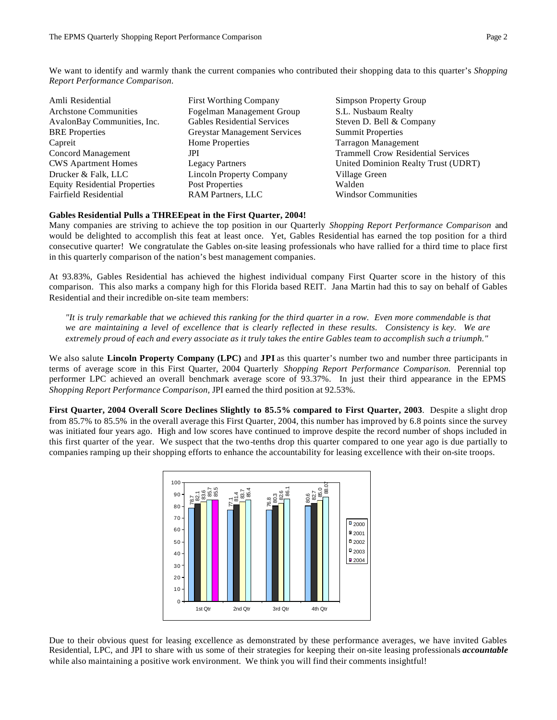We want to identify and warmly thank the current companies who contributed their shopping data to this quarter's *Shopping Report Performance Comparison.*

| Amli Residential<br><b>Architone Communities</b><br>AvalonBay Communities, Inc. | <b>First Worthing Company</b><br>Fogelman Management Group<br><b>Gables Residential Services</b> | <b>Simpson Property Group</b><br>S.L. Nusbaum Realty<br>Steven D. Bell & Company |
|---------------------------------------------------------------------------------|--------------------------------------------------------------------------------------------------|----------------------------------------------------------------------------------|
| <b>BRE</b> Properties                                                           | <b>Greystar Management Services</b>                                                              | <b>Summit Properties</b>                                                         |
| Capreit                                                                         | <b>Home Properties</b>                                                                           | <b>Tarragon Management</b>                                                       |
| Concord Management<br><b>CWS</b> Apartment Homes                                | JPI<br><b>Legacy Partners</b>                                                                    | <b>Trammell Crow Residential Services</b><br>United Dominion Realty Trust (UDRT) |
| Drucker & Falk, LLC                                                             | <b>Lincoln Property Company</b>                                                                  | Village Green                                                                    |
| <b>Equity Residential Properties</b>                                            | Post Properties                                                                                  | Walden                                                                           |
| Fairfield Residential                                                           | RAM Partners, LLC                                                                                | <b>Windsor Communities</b>                                                       |

## **Gables Residential Pulls a THREEpeat in the First Quarter, 2004!**

Many companies are striving to achieve the top position in our Quarterly *Shopping Report Performance Comparison* and would be delighted to accomplish this feat at least once. Yet, Gables Residential has earned the top position for a third consecutive quarter! We congratulate the Gables on-site leasing professionals who have rallied for a third time to place first in this quarterly comparison of the nation's best management companies.

At 93.83%, Gables Residential has achieved the highest individual company First Quarter score in the history of this comparison. This also marks a company high for this Florida based REIT. Jana Martin had this to say on behalf of Gables Residential and their incredible on-site team members:

*"It is truly remarkable that we achieved this ranking for the third quarter in a row. Even more commendable is that we are maintaining a level of excellence that is clearly reflected in these results. Consistency is key. We are extremely proud of each and every associate as it truly takes the entire Gables team to accomplish such a triumph."* 

We also salute **Lincoln Property Company (LPC)** and **JPI** as this quarter's number two and number three participants in terms of average score in this First Quarter, 2004 Quarterly *Shopping Report Performance Comparison.* Perennial top performer LPC achieved an overall benchmark average score of 93.37%. In just their third appearance in the EPMS *Shopping Report Performance Comparison,* JPI earned the third position at 92.53%.

**First Quarter, 2004 Overall Score Declines Slightly to 85.5% compared to First Quarter, 2003**. Despite a slight drop from 85.7% to 85.5% in the overall average this First Quarter, 2004, this number has improved by 6.8 points since the survey was initiated four years ago. High and low scores have continued to improve despite the record number of shops included in this first quarter of the year. We suspect that the two-tenths drop this quarter compared to one year ago is due partially to companies ramping up their shopping efforts to enhance the accountability for leasing excellence with their on-site troops.



Due to their obvious quest for leasing excellence as demonstrated by these performance averages, we have invited Gables Residential, LPC, and JPI to share with us some of their strategies for keeping their on-site leasing professionals *accountable*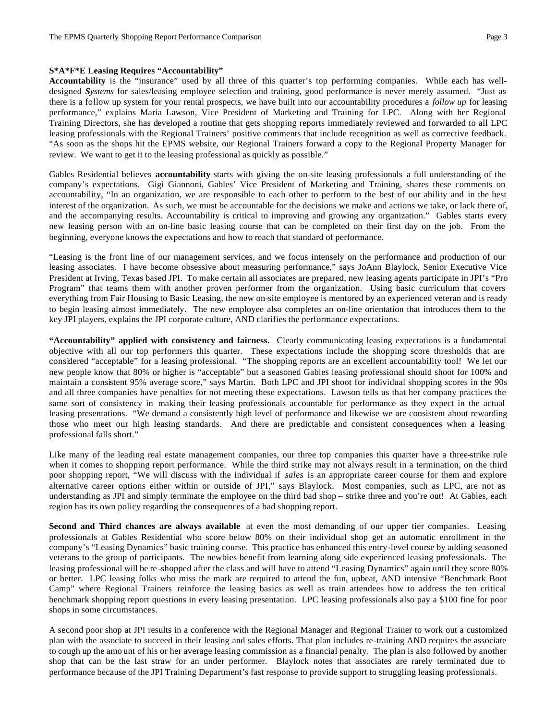### **S\*A\*F\*E Leasing Requires "Accountability"**

**Accountability** is the "insurance" used by all three of this quarter's top performing companies. While each has welldesigned *Systems* for sales/leasing employee selection and training, good performance is never merely assumed. "Just as there is a follow up system for your rental prospects, we have built into our accountability procedures a *follow up* for leasing performance," explains Maria Lawson, Vice President of Marketing and Training for LPC. Along with her Regional Training Directors, she has developed a routine that gets shopping reports immediately reviewed and forwarded to all LPC leasing professionals with the Regional Trainers' positive comments that include recognition as well as corrective feedback. "As soon as the shops hit the EPMS website, our Regional Trainers forward a copy to the Regional Property Manager for review. We want to get it to the leasing professional as quickly as possible."

Gables Residential believes **accountability** starts with giving the on-site leasing professionals a full understanding of the company's expectations. Gigi Giannoni, Gables' Vice President of Marketing and Training, shares these comments on accountability, "In an organization, we are responsible to each other to perform to the best of our ability and in the best interest of the organization. As such, we must be accountable for the decisions we make and actions we take, or lack there of, and the accompanying results. Accountability is critical to improving and growing any organization." Gables starts every new leasing person with an on-line basic leasing course that can be completed on their first day on the job. From the beginning, everyone knows the expectations and how to reach that standard of performance.

"Leasing is the front line of our management services, and we focus intensely on the performance and production of our leasing associates. I have become obsessive about measuring performance," says JoAnn Blaylock, Senior Executive Vice President at Irving, Texas based JPI. To make certain all associates are prepared, new leasing agents participate in JPI's "Pro Program" that teams them with another proven performer from the organization. Using basic curriculum that covers everything from Fair Housing to Basic Leasing, the new on-site employee is mentored by an experienced veteran and is ready to begin leasing almost immediately. The new employee also completes an on-line orientation that introduces them to the key JPI players, explains the JPI corporate culture, AND clarifies the performance expectations.

**"Accountability" applied with consistency and fairness.** Clearly communicating leasing expectations is a fundamental objective with all our top performers this quarter. These expectations include the shopping score thresholds that are considered "acceptable" for a leasing professional. "The shopping reports are an excellent accountability tool! We let our new people know that 80% or higher is "acceptable" but a seasoned Gables leasing professional should shoot for 100% and maintain a consistent 95% average score," says Martin. Both LPC and JPI shoot for individual shopping scores in the 90s and all three companies have penalties for not meeting these expectations. Lawson tells us that her company practices the same sort of consistency in making their leasing professionals accountable for performance as they expect in the actual leasing presentations. "We demand a consistently high level of performance and likewise we are consistent about rewarding those who meet our high leasing standards. And there are predictable and consistent consequences when a leasing professional falls short."

Like many of the leading real estate management companies, our three top companies this quarter have a three-strike rule when it comes to shopping report performance. While the third strike may not always result in a termination, on the third poor shopping report, "We will discuss with the individual if *sales* is an appropriate career course for them and explore alternative career options either within or outside of JPI," says Blaylock. Most companies, such as LPC, are not as understanding as JPI and simply terminate the employee on the third bad shop – strike three and you're out! At Gables, each region has its own policy regarding the consequences of a bad shopping report.

**Second and Third chances are always available** at even the most demanding of our upper tier companies. Leasing professionals at Gables Residential who score below 80% on their individual shop get an automatic enrollment in the company's "Leasing Dynamics" basic training course. This practice has enhanced this entry-level course by adding seasoned veterans to the group of participants. The newbies benefit from learning along side experienced leasing professionals. The leasing professional will be re -shopped after the class and will have to attend "Leasing Dynamics" again until they score 80% or better. LPC leasing folks who miss the mark are required to attend the fun, upbeat, AND intensive "Benchmark Boot Camp" where Regional Trainers reinforce the leasing basics as well as train attendees how to address the ten critical benchmark shopping report questions in every leasing presentation. LPC leasing professionals also pay a \$100 fine for poor shops in some circumstances.

A second poor shop at JPI results in a conference with the Regional Manager and Regional Trainer to work out a customized plan with the associate to succeed in their leasing and sales efforts. That plan includes re-training AND requires the associate to cough up the amo unt of his or her average leasing commission as a financial penalty. The plan is also followed by another shop that can be the last straw for an under performer. Blaylock notes that associates are rarely terminated due to performance because of the JPI Training Department's fast response to provide support to struggling leasing professionals.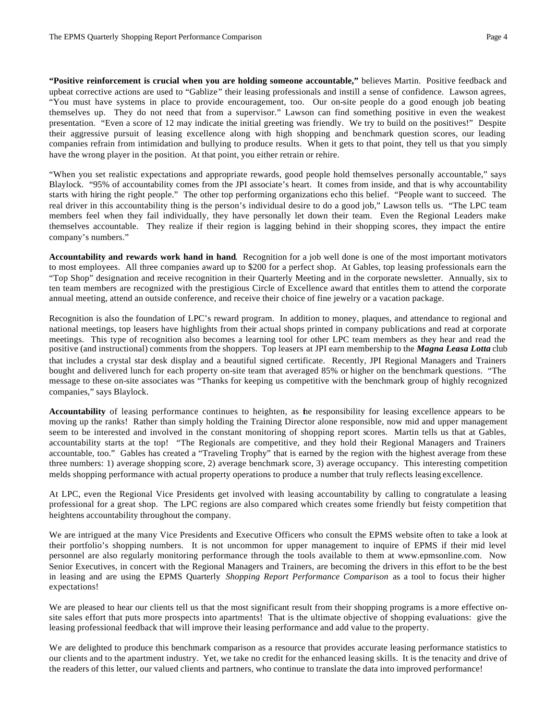**"Positive reinforcement is crucial when you are holding someone accountable,"** believes Martin. Positive feedback and upbeat corrective actions are used to "Gablize" their leasing professionals and instill a sense of confidence. Lawson agrees, "You must have systems in place to provide encouragement, too. Our on-site people do a good enough job beating themselves up. They do not need that from a supervisor." Lawson can find something positive in even the weakest presentation. "Even a score of 12 may indicate the initial greeting was friendly. We try to build on the positives!" Despite their aggressive pursuit of leasing excellence along with high shopping and benchmark question scores, our leading companies refrain from intimidation and bullying to produce results. When it gets to that point, they tell us that you simply have the wrong player in the position. At that point, you either retrain or rehire.

"When you set realistic expectations and appropriate rewards, good people hold themselves personally accountable," says Blaylock. "95% of accountability comes from the JPI associate's heart. It comes from inside, and that is why accountability starts with hiring the right people." The other top performing organizations echo this belief. "People want to succeed. The real driver in this accountability thing is the person's individual desire to do a good job," Lawson tells us. "The LPC team members feel when they fail individually, they have personally let down their team. Even the Regional Leaders make themselves accountable. They realize if their region is lagging behind in their shopping scores, they impact the entire company's numbers."

**Accountability and rewards work hand in hand**. Recognition for a job well done is one of the most important motivators to most employees. All three companies award up to \$200 for a perfect shop. At Gables, top leasing professionals earn the "Top Shop" designation and receive recognition in their Quarterly Meeting and in the corporate newsletter. Annually, six to ten team members are recognized with the prestigious Circle of Excellence award that entitles them to attend the corporate annual meeting, attend an outside conference, and receive their choice of fine jewelry or a vacation package.

Recognition is also the foundation of LPC's reward program. In addition to money, plaques, and attendance to regional and national meetings, top leasers have highlights from their actual shops printed in company publications and read at corporate meetings. This type of recognition also becomes a learning tool for other LPC team members as they hear and read the positive (and instructional) comments from the shoppers. Top leasers at JPI earn membership to the *Magna Leasa Lotta* club that includes a crystal star desk display and a beautiful signed certificate. Recently, JPI Regional Managers and Trainers bought and delivered lunch for each property on-site team that averaged 85% or higher on the benchmark questions. "The message to these on-site associates was "Thanks for keeping us competitive with the benchmark group of highly recognized companies," says Blaylock.

**Accountability** of leasing performance continues to heighten, as the responsibility for leasing excellence appears to be moving up the ranks! Rather than simply holding the Training Director alone responsible, now mid and upper management seem to be interested and involved in the constant monitoring of shopping report scores. Martin tells us that at Gables, accountability starts at the top! "The Regionals are competitive, and they hold their Regional Managers and Trainers accountable, too." Gables has created a "Traveling Trophy" that is earned by the region with the highest average from these three numbers: 1) average shopping score, 2) average benchmark score, 3) average occupancy. This interesting competition melds shopping performance with actual property operations to produce a number that truly reflects leasing excellence.

At LPC, even the Regional Vice Presidents get involved with leasing accountability by calling to congratulate a leasing professional for a great shop. The LPC regions are also compared which creates some friendly but feisty competition that heightens accountability throughout the company.

We are intrigued at the many Vice Presidents and Executive Officers who consult the EPMS website often to take a look at their portfolio's shopping numbers. It is not uncommon for upper management to inquire of EPMS if their mid level personnel are also regularly monitoring performance through the tools available to them at www.epmsonline.com. Now Senior Executives, in concert with the Regional Managers and Trainers, are becoming the drivers in this effort to be the best in leasing and are using the EPMS Quarterly *Shopping Report Performance Comparison* as a tool to focus their higher expectations!

We are pleased to hear our clients tell us that the most significant result from their shopping programs is a more effective onsite sales effort that puts more prospects into apartments! That is the ultimate objective of shopping evaluations: give the leasing professional feedback that will improve their leasing performance and add value to the property.

We are delighted to produce this benchmark comparison as a resource that provides accurate leasing performance statistics to our clients and to the apartment industry. Yet, we take no credit for the enhanced leasing skills. It is the tenacity and drive of the readers of this letter, our valued clients and partners, who continue to translate the data into improved performance!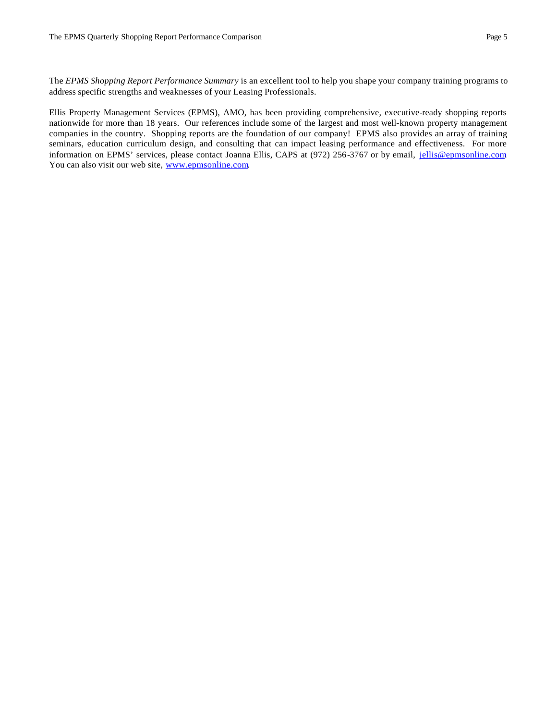The *EPMS Shopping Report Performance Summary* is an excellent tool to help you shape your company training programs to address specific strengths and weaknesses of your Leasing Professionals.

Ellis Property Management Services (EPMS), AMO, has been providing comprehensive, executive-ready shopping reports nationwide for more than 18 years. Our references include some of the largest and most well-known property management companies in the country. Shopping reports are the foundation of our company! EPMS also provides an array of training seminars, education curriculum design, and consulting that can impact leasing performance and effectiveness. For more information on EPMS' services, please contact Joanna Ellis, CAPS at (972) 256-3767 or by email, jellis@epmsonline.com You can also visit our web site, www.epmsonline.com.